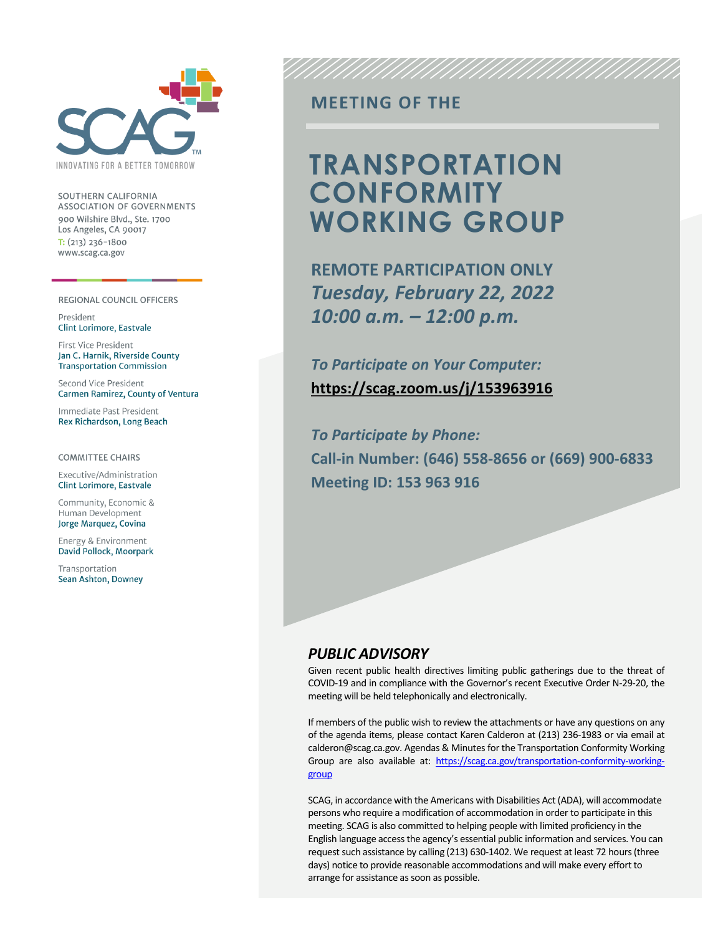

SOUTHERN CALIFORNIA **ASSOCIATION OF GOVERNMENTS** 900 Wilshire Blvd., Ste. 1700 Los Angeles, CA 90017  $T: (213)$  236-1800 www.scag.ca.gov

#### REGIONAL COUNCIL OFFICERS

President **Clint Lorimore, Eastvale** 

First Vice President Jan C. Harnik, Riverside County **Transportation Commission** 

Second Vice President Carmen Ramirez, County of Ventura

Immediate Past President Rex Richardson, Long Beach

**COMMITTEE CHAIRS** 

Executive/Administration **Clint Lorimore, Eastvale** 

Community, Economic & Human Development Jorge Marquez, Covina

Energy & Environment David Pollock, Moorpark

Transportation Sean Ashton, Downey

### **MEETING OF THE**

## **TRANSPORTATION CONFORMITY WORKING GROUP**

**REMOTE PARTICIPATION ONLY** *Tuesday, February 22, 2022 10:00 a.m. – 12:00 p.m.*

*To Participate on Your Computer:* **<https://scag.zoom.us/j/153963916>**

*To Participate by Phone:* **Call-in Number: (646) 558-8656 or (669) 900-6833 Meeting ID: 153 963 916**

#### *PUBLIC ADVISORY*

Given recent public health directives limiting public gatherings due to the threat of COVID-19 and in compliance with the Governor's recent Executive Order N-29-20, the meeting will be held telephonically and electronically.

If members of the public wish to review the attachments or have any questions on any of the agenda items, please contact Karen Calderon at (213) 236-1983 or via email at calderon@scag.ca.gov. Agendas & Minutes for the Transportation Conformity Working Group are also available at: [https://scag.ca.gov/transportation-conformity-working](https://scag.ca.gov/transportation-conformity-working-group)[group](https://scag.ca.gov/transportation-conformity-working-group)

SCAG, in accordance with the Americans with Disabilities Act (ADA), will accommodate persons who require a modification of accommodation in order to participate in this meeting. SCAG is also committed to helping people with limited proficiency in the English language access the agency's essential public information and services. You can request such assistance by calling (213) 630-1402. We request at least 72 hours (three days) notice to provide reasonable accommodations and will make every effort to arrange for assistance as soon as possible.